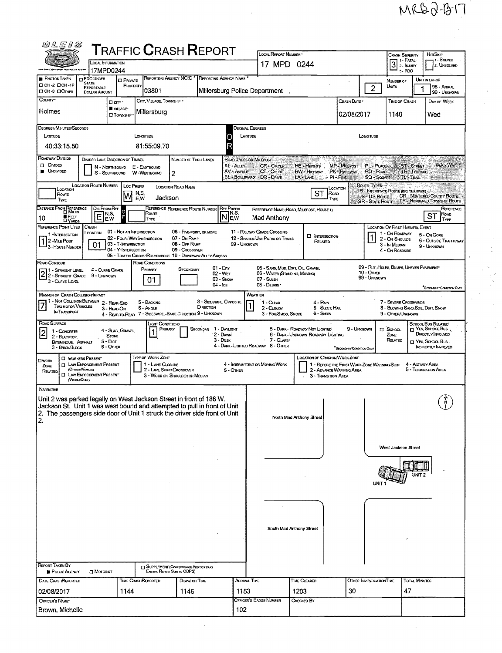MRD0-13-17

| 00 L E 1 S                                                                                                                                                                                                                                              |                                                                                                                            |                                                                    |                                                        |                                                                                 | TRAFFIC <b>C</b> RASH <b>R</b> EPORT                                                    |                                                                                                         | LOCAL REPORT NUMBER                                                                             |                                                                                                                |                                                      |                                                                                                  |                                                                                                         |                                     | Hm/SKIP                                                                                                                |
|---------------------------------------------------------------------------------------------------------------------------------------------------------------------------------------------------------------------------------------------------------|----------------------------------------------------------------------------------------------------------------------------|--------------------------------------------------------------------|--------------------------------------------------------|---------------------------------------------------------------------------------|-----------------------------------------------------------------------------------------|---------------------------------------------------------------------------------------------------------|-------------------------------------------------------------------------------------------------|----------------------------------------------------------------------------------------------------------------|------------------------------------------------------|--------------------------------------------------------------------------------------------------|---------------------------------------------------------------------------------------------------------|-------------------------------------|------------------------------------------------------------------------------------------------------------------------|
|                                                                                                                                                                                                                                                         |                                                                                                                            | <b>LOCAL INFORMATION</b>                                           |                                                        |                                                                                 |                                                                                         |                                                                                                         | 17 MPD 0244                                                                                     |                                                                                                                |                                                      |                                                                                                  | Crash Severity<br>1 1 - Fatal<br>3<br>z - Injuny                                                        |                                     | 1 - Solved<br>2. UNSOLVED                                                                                              |
|                                                                                                                                                                                                                                                         |                                                                                                                            | 17MPD0244                                                          |                                                        |                                                                                 |                                                                                         |                                                                                                         |                                                                                                 |                                                                                                                |                                                      |                                                                                                  | 3-PDO                                                                                                   |                                     |                                                                                                                        |
| <b>PHOTOS TAKEN</b><br>□ 0H-2 □ 0H-1P<br><b>DOH-3 DOTHER</b>                                                                                                                                                                                            | <b>DPDO UNDER</b><br><b>STATE</b><br>REPORTABLE<br><b>DOLLAR AMOUNT</b>                                                    | <b>C</b> PRIVATE                                                   | PROPERTY<br>03801                                      | REPORTING AGENCY NCIC <sup>*</sup>                                              |                                                                                         | REPORTING AGENCY NAME                                                                                   | Millersburg Police Department                                                                   |                                                                                                                |                                                      | $\overline{c}$                                                                                   | NUMBER OF<br>UNITS                                                                                      |                                     | UNIT IN ERROR<br>98 - ANIMAL<br>99 - UNKNOWN                                                                           |
| COUNTY <sup>.</sup>                                                                                                                                                                                                                                     |                                                                                                                            | Don.<br>WILLAGE*                                                   |                                                        | CITY, VILLAGE, TOWNSHIP .                                                       |                                                                                         |                                                                                                         |                                                                                                 |                                                                                                                | Crash Date *                                         |                                                                                                  | TIME OF CRASH                                                                                           |                                     | DAY OF WEEK                                                                                                            |
| Holmes                                                                                                                                                                                                                                                  |                                                                                                                            | <b>O TOWNSHIP</b>                                                  | Millersburg                                            |                                                                                 |                                                                                         |                                                                                                         |                                                                                                 |                                                                                                                | 02/08/2017                                           |                                                                                                  | 1140                                                                                                    |                                     | Wed                                                                                                                    |
| DEGREES/MINUTES/SECONDS<br>LATTUDE                                                                                                                                                                                                                      |                                                                                                                            |                                                                    | Lowgroupe                                              |                                                                                 |                                                                                         | LATTIUDE                                                                                                | <b>DECIMAL DEGREES</b>                                                                          |                                                                                                                |                                                      |                                                                                                  |                                                                                                         |                                     |                                                                                                                        |
| 40:33:15.50                                                                                                                                                                                                                                             |                                                                                                                            |                                                                    | 81:55:09.70                                            |                                                                                 |                                                                                         | R                                                                                                       |                                                                                                 |                                                                                                                |                                                      | <b>LONGTUDE</b>                                                                                  |                                                                                                         |                                     |                                                                                                                        |
| ROADWAY DIVISION<br><b>DIMDED</b><br><b>UNDIVIDED</b>                                                                                                                                                                                                   | s                                                                                                                          | DIVIDED LANE DIRECTION OF TRAVEL<br>N - Northbound<br>- SOUTHBOUND | E - EASTBOUND<br>W-WESTBOUND                           | 2                                                                               | NUMBER OF THRU LANES                                                                    | ROAD TYPES OR MILLEPOST<br>AL - ALLEY<br>AV - AVENUE                                                    | <b>CR</b> - CIRCLE<br>CT - COURT<br>BL - BOULEVARD DR - DRIVE                                   | Site of the County<br>9<br>HE - Herems<br>HW-Highway PK-PARKWAY<br>$\leq$ $\circ$ PI - Pike $\circ$<br>LA-LANE | <b>SALES AND REAL PROPERTY</b><br><b>MP-MILEPOST</b> | PL-PLACE<br>RD - Road<br>SQ - SQUARE                                                             |                                                                                                         | ST-STREET<br>TE-TERRACE<br>TL-TRAIL | WA - WAY                                                                                                               |
| CCATION<br>Route<br>TYPE                                                                                                                                                                                                                                | <b>LOCATION ROUTE NUMBER</b>                                                                                               | ١w                                                                 | LOC PREFIX<br>N,S.<br>E,W                              | <b>LOCATION ROAD NAME</b><br>Jackson                                            |                                                                                         |                                                                                                         |                                                                                                 | ST<br>ROAD<br>TYPE                                                                                             | LOCATION                                             | Route Types<br>IR - INTERSTATE ROUTE (ING. TURNPIKE)<br>US - US Route<br><b>SR - STATE ROUTE</b> |                                                                                                         |                                     | CR - NUMBERED COUNTY ROUTE<br>TR - NUMBERED TOWNSHIP ROUTE                                                             |
| DISTANCE FROM REFERENCE<br><b>E</b> FEET<br>10<br><b>DYARDS</b>                                                                                                                                                                                         | E                                                                                                                          | DIR FROM REF<br>N,S,<br>EW                                         | Roune<br>TYPE                                          | REFERENCE REFERENCE ROUTE NUMBER                                                |                                                                                         | <b>REF PREFIX</b><br>$\mathsf{\overline{N}}_{\mathsf{E},\mathsf{W}}^{\mathsf{N},\mathsf{S},\mathsf{S}}$ | Mad Anthony                                                                                     | REFERENCE NAME (ROAD, MILEPOST, HOUSE #)                                                                       |                                                      |                                                                                                  |                                                                                                         |                                     | REFERENCE<br>Road<br><b>ST</b><br>Type                                                                                 |
| REFERENCE POINT USED<br>1-INTERSECTION<br>12-MiLE Post<br><sup>1</sup> 3 - House Number                                                                                                                                                                 | CRASH<br>LOCATION<br>01                                                                                                    | 03 - T-INTERSECTION<br>04 - Y-INTERSECTION                         | 01 - NOT AN INTERSECTION<br>02 - Four-WAY INTERSECTION | 07 - On Ramp<br>08 - Off Ramp<br>09 - Crossover                                 | 06 - FIVE-POINT, OR MORE<br>05 - TRAFFIC CIRCLE/ ROUNDABOUT 10 ~ DRIVEWAY/ ALLEY ACCESS | 99 - UNKNOWN                                                                                            | 11 - RAILWAY GRADE CROSSING<br>12 - SHARED-USE PATHS OR TRAILS                                  | <b>C</b> INTERSECTION<br>RELATED                                                                               |                                                      |                                                                                                  | LOCATION OF FIRST HARMFUL EVENT<br>1 - On ROADWAY<br>2 - On Shoulde<br>3 - In Median<br>4 - On ROADSIDE |                                     | 5 - ON GORE<br>6 - OUTSIDE TRAFFICWAY<br>9 - UNKNOWN                                                                   |
| ROAD CONTOUR<br>11 - Straight Level<br>2 - STRAIGHT GRADE 9 - UNKNOWN<br>3 - Curve Level                                                                                                                                                                |                                                                                                                            | 4 - CURVE GRADE                                                    | ROAD CONDITIONS<br>PRIMARY<br>01                       |                                                                                 | SECONDARY                                                                               | $01 - \text{Dry}$<br>02 - Wer<br>03 - Snow<br>$04 - ice$                                                | 05 - SAND, MUD, DIRT, OIL, GRAVEL<br>06 - WATER (STANDING, MOVING)<br>07 - SLUSH<br>08 - DEBRIS |                                                                                                                |                                                      | 09 - Rut, HOLES, BUMPS, UNEVEN PAVEMENT<br>10 - Отнея<br>99 - Unknown                            |                                                                                                         |                                     |                                                                                                                        |
| MANNER OF CRASH COLLISION/IMPACT<br>1 - Not Collision BETWEEN 2 - REAR-END<br><b>TWO MOTOR VEHICLES</b><br>IN TRANSPORT                                                                                                                                 |                                                                                                                            | 3 - HEAD-ON                                                        | 5 - BACKING<br>$6 -$ Angle                             |                                                                                 | DIRECTION<br>4 - REAR-TO-REAR 7 - SIDESWIPE, - SAME DIRECTION 9 - UNKNOWN               | 8 - Sideswipe, Opposite                                                                                 | WEATHER<br>1 - CLEAR<br>2 - CLoupy<br>3 - Fog, Smog, Smoke                                      | 4 - Rain<br>5 - Sleet, Hal<br>6 - Snow                                                                         |                                                      |                                                                                                  | 7 - Severe Crosswinds<br>8 - BLOWING SAND, SOIL, DIRT, SNOW<br>9 - Other/Unknown                        |                                     | <b>SECONDARY CONDITION ONLY</b>                                                                                        |
| ROAD SURFACE<br>1 - CONCRETE<br>$\overline{2}$<br>2 - BLACKTOP.<br>BITUMINOUS, ASPHALT<br>3 - BRICK BLOCK                                                                                                                                               |                                                                                                                            | 4 - Slag , Gravel,<br><b>STONE</b><br>$5 -$ Dirt<br>6 - OTHER      |                                                        | дант Сомогломз<br>PRIMARY                                                       | SECONDAR                                                                                | 1 - Daylight<br>2 - DAWN<br>$3 - D$ USK                                                                 | 7 - GLARE*<br>4 - DARK - LIGHTED ROADWAY 8 - OTHER                                              | 5 - DARK - ROADWAY NOT LIGHTED<br>6 - DARK - UNKNOWN ROADWAY LIGHTING                                          | 9 - Unknown<br>SECONDARY CONDITION ONLY              |                                                                                                  | $\Box$ SCHOOL<br>ZONE<br>RELATED                                                                        |                                     | <b>SCHOOL BUS RELATED</b><br>$\Box$ Yes, School Bus.<br>DIRECTLY INVOLVED<br>T YES, SCHOOL BUS.<br>INDIRECTLY INVOLVED |
| Owork<br>ZONE<br>RELATED<br>α                                                                                                                                                                                                                           | <b>C WORKERS PRESENT</b><br><b>ET LAW ENFORCEMENT PRESENT</b><br>(Orncen/Vissous)<br>LAW ENFORCEMENT PRESENT<br>(VergeOMY) |                                                                    | TYPE OF WORK ZONE                                      | 1 - LANE CLOSURE<br>2 - LANE SHIFT/ CROSSOVER<br>3 - WORK ON SHOULDER OR MEDIAN |                                                                                         | 5 - OTHER                                                                                               | 4 - INTERMITTENT OR MOVING WORK                                                                 | LOCATION OF CRASH IN WORK ZONE<br>2 - ADVANCE WARNING AREA<br>3 - TRANSITION AREA                              | 1 - BEFORE THE FIRST WORK ZONE WARNING SIGN          |                                                                                                  |                                                                                                         | 4 - ACTIVITY AREA                   | 5 - Termination Area                                                                                                   |
| <b>NARRATIVE</b><br>Unit 2 was parked legally on West Jackson Street in front of 186 W.<br>Jackson St. Unit 1 was west bound and attempted to pull in front of Unit<br>2. The passengers side door of Unit 1 struck the driver side front of Unit<br>2. |                                                                                                                            |                                                                    |                                                        |                                                                                 |                                                                                         |                                                                                                         |                                                                                                 | North Mad Anthony Street                                                                                       |                                                      |                                                                                                  | West Jackson Street                                                                                     |                                     |                                                                                                                        |
|                                                                                                                                                                                                                                                         |                                                                                                                            |                                                                    |                                                        |                                                                                 |                                                                                         |                                                                                                         |                                                                                                 |                                                                                                                |                                                      |                                                                                                  |                                                                                                         |                                     |                                                                                                                        |
| REPORT TAKEN BY                                                                                                                                                                                                                                         |                                                                                                                            |                                                                    |                                                        | [7] SUPPLEMENT (CORRECTION OR ADDITIONTO AN                                     |                                                                                         |                                                                                                         |                                                                                                 | South Mad Anthony Street                                                                                       |                                                      |                                                                                                  |                                                                                                         |                                     |                                                                                                                        |
| <b>POLICE AGENCY</b>                                                                                                                                                                                                                                    | <b>D</b> MOTORIST                                                                                                          |                                                                    |                                                        | Existing Report Sent to ODPS)                                                   |                                                                                         |                                                                                                         |                                                                                                 |                                                                                                                |                                                      |                                                                                                  |                                                                                                         |                                     |                                                                                                                        |
| DATE CRASHREPORTED<br>02/08/2017                                                                                                                                                                                                                        |                                                                                                                            | 1144                                                               | TIME CRASHREPORTED                                     | 1146                                                                            | DISPATCH TIME                                                                           | Arrival Time<br>1153                                                                                    |                                                                                                 | TIME CLEARED<br>1203                                                                                           | 30                                                   | OTHER INVESTIGATION TIME                                                                         | 47                                                                                                      | <b>TOTAL MINUTES</b>                |                                                                                                                        |
| OFFICER'S NAME*                                                                                                                                                                                                                                         |                                                                                                                            |                                                                    |                                                        |                                                                                 |                                                                                         |                                                                                                         | OFFICER'S BADGE NUMBER                                                                          | CHECKED BY                                                                                                     |                                                      |                                                                                                  |                                                                                                         |                                     |                                                                                                                        |
| Brown, Michelle                                                                                                                                                                                                                                         |                                                                                                                            |                                                                    |                                                        |                                                                                 |                                                                                         | 102                                                                                                     |                                                                                                 |                                                                                                                |                                                      |                                                                                                  |                                                                                                         |                                     |                                                                                                                        |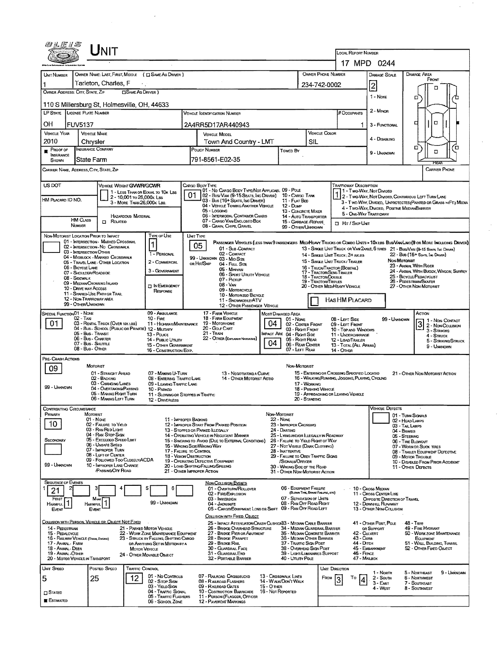| UNIT                                                                                                                               |                                                      |                                                                         |                                                                                         |                                                                                   |                                                                                                                                         |                                                                                                                                                                                                                                                                                                                                                        |                                                                                                 |                                    |                                                               |                                                                                     |                                      | <b>LOCAL REPORT NUMBER</b><br>17 MPD 0244                              |                                                                                                                                                                                                                     |                                                   |                                                                 |                   |  |  |
|------------------------------------------------------------------------------------------------------------------------------------|------------------------------------------------------|-------------------------------------------------------------------------|-----------------------------------------------------------------------------------------|-----------------------------------------------------------------------------------|-----------------------------------------------------------------------------------------------------------------------------------------|--------------------------------------------------------------------------------------------------------------------------------------------------------------------------------------------------------------------------------------------------------------------------------------------------------------------------------------------------------|-------------------------------------------------------------------------------------------------|------------------------------------|---------------------------------------------------------------|-------------------------------------------------------------------------------------|--------------------------------------|------------------------------------------------------------------------|---------------------------------------------------------------------------------------------------------------------------------------------------------------------------------------------------------------------|---------------------------------------------------|-----------------------------------------------------------------|-------------------|--|--|
|                                                                                                                                    |                                                      |                                                                         |                                                                                         |                                                                                   |                                                                                                                                         |                                                                                                                                                                                                                                                                                                                                                        |                                                                                                 |                                    |                                                               |                                                                                     |                                      |                                                                        |                                                                                                                                                                                                                     |                                                   |                                                                 |                   |  |  |
| <b>UNIT NUMBER</b>                                                                                                                 | OWNER NAME: LAST, FIRST, MIDDLE ( C SAME AS DRIVER ) |                                                                         |                                                                                         |                                                                                   |                                                                                                                                         |                                                                                                                                                                                                                                                                                                                                                        |                                                                                                 |                                    |                                                               | OWNER PHONE NUMBER                                                                  |                                      |                                                                        | DAMAGE SCALE                                                                                                                                                                                                        |                                                   | DAMAGE AREA<br>FRONT                                            |                   |  |  |
| Tarleton, Charles, F<br>$\langle \cdot \rangle_{\mathcal{C}}$<br>1<br><b>CISAME AS DRIVER )</b><br>OWNER ADDRESS; CITY, STATE, ZIP |                                                      |                                                                         |                                                                                         |                                                                                   |                                                                                                                                         |                                                                                                                                                                                                                                                                                                                                                        |                                                                                                 |                                    |                                                               | 234-742-0002                                                                        |                                      |                                                                        | $\left 2\right $                                                                                                                                                                                                    |                                                   | Ω                                                               |                   |  |  |
|                                                                                                                                    |                                                      |                                                                         |                                                                                         |                                                                                   |                                                                                                                                         |                                                                                                                                                                                                                                                                                                                                                        |                                                                                                 |                                    |                                                               |                                                                                     |                                      |                                                                        | 1 - None                                                                                                                                                                                                            |                                                   | ם                                                               |                   |  |  |
| 110 S Millersburg St, Holmesville, OH, 44633<br>LP STATE LICENSE PLATE NUMBER<br><b>VEHICLE IDENTIFICATION NUMBER</b>              |                                                      |                                                                         |                                                                                         |                                                                                   |                                                                                                                                         |                                                                                                                                                                                                                                                                                                                                                        |                                                                                                 |                                    |                                                               |                                                                                     |                                      | <b>H</b> Occupants                                                     | 2 - MINOR                                                                                                                                                                                                           |                                                   |                                                                 |                   |  |  |
| ОH<br><b>FUV5137</b>                                                                                                               |                                                      |                                                                         |                                                                                         |                                                                                   |                                                                                                                                         | 2A4RR5D17AR440943                                                                                                                                                                                                                                                                                                                                      |                                                                                                 |                                    |                                                               |                                                                                     |                                      |                                                                        | 3 - FUNCTIONAL                                                                                                                                                                                                      |                                                   | α<br>◘                                                          |                   |  |  |
| <b>VEHICLE YEAR</b>                                                                                                                | <b>VEHICLE MAKE</b>                                  |                                                                         |                                                                                         |                                                                                   |                                                                                                                                         |                                                                                                                                                                                                                                                                                                                                                        | <b>VEHICLE COLOR</b><br><b>VEHICLE MODEL</b>                                                    |                                    |                                                               |                                                                                     |                                      |                                                                        |                                                                                                                                                                                                                     |                                                   |                                                                 |                   |  |  |
| 2010                                                                                                                               |                                                      | Chrysler                                                                |                                                                                         |                                                                                   | Town And Country - LMT<br>SIL                                                                                                           |                                                                                                                                                                                                                                                                                                                                                        |                                                                                                 |                                    |                                                               |                                                                                     |                                      | 4 - DISABLING                                                          |                                                                                                                                                                                                                     | O                                                 | o                                                               |                   |  |  |
| Proof of<br>INSURANCE<br>SHOWN                                                                                                     |                                                      | <b>INSURANCE COMPANY</b><br>State Farm                                  |                                                                                         |                                                                                   |                                                                                                                                         | POLICY NUMBER<br>791-8561-E02-35                                                                                                                                                                                                                                                                                                                       |                                                                                                 |                                    | Towed By                                                      |                                                                                     |                                      |                                                                        | 9 - UNKNOWN                                                                                                                                                                                                         |                                                   | $\Box$                                                          |                   |  |  |
|                                                                                                                                    |                                                      | CARRIER NAME, ADDRESS, CITY, STATE, ZIP                                 |                                                                                         |                                                                                   |                                                                                                                                         |                                                                                                                                                                                                                                                                                                                                                        |                                                                                                 |                                    |                                                               |                                                                                     |                                      |                                                                        |                                                                                                                                                                                                                     |                                                   | <b>CARRIER PHONE</b>                                            |                   |  |  |
|                                                                                                                                    |                                                      |                                                                         |                                                                                         |                                                                                   |                                                                                                                                         |                                                                                                                                                                                                                                                                                                                                                        |                                                                                                 |                                    |                                                               |                                                                                     |                                      |                                                                        |                                                                                                                                                                                                                     |                                                   |                                                                 |                   |  |  |
| US DOT                                                                                                                             |                                                      | VEHICLE WEIGHT GWWFVGCWR                                                |                                                                                         | 1 - LESS THAN OR EOUAL TO 10K LBS                                                 |                                                                                                                                         | CARGO BOOY TYPE                                                                                                                                                                                                                                                                                                                                        | 01 - No CARGO BODY TYPE/NOT APPLICABL 09 - POLE                                                 |                                    |                                                               |                                                                                     |                                      | Trafficway Description<br>11 - Two-Way, Not Divideo                    |                                                                                                                                                                                                                     |                                                   |                                                                 |                   |  |  |
| HM PLACARD ID NO.                                                                                                                  |                                                      |                                                                         | 2 - 10,001 to 26,000k Las<br>3 - MORE THAN 26,000K LBS.                                 |                                                                                   | 01                                                                                                                                      |                                                                                                                                                                                                                                                                                                                                                        | 02 - Bus/Van (9-15 Seats, Ing Driver)<br>03 - Bus (16+ Seats, Inc Driver)                       |                                    | 10 - Cargo Tank<br>11 - FLAT BED<br>12 - Dump                 |                                                                                     |                                      |                                                                        | 2 - Two-Way, Not Divided, Continuous LEFT TURN LANE<br>3 - Two-Way, Divided, Unprotected (Painted or Grass > Ft.) Media                                                                                             |                                                   |                                                                 |                   |  |  |
|                                                                                                                                    |                                                      |                                                                         | <b>HAZARDOUS MATERIAL</b>                                                               |                                                                                   | 04 • VEHICLE TOWING ANOTHER VEHICLE<br>05 - Localwa<br>13 - CONCRETE MIXER<br>06 - INTERMODAL CONTAINER CHASIS<br>14 - AUTO TRANSPORTER |                                                                                                                                                                                                                                                                                                                                                        |                                                                                                 |                                    |                                                               |                                                                                     |                                      | 4 - Two-Way, DIVIDED, POSITIVE MEDIANBARRIER<br>5 - ONE-WAY TRAFFICWAY |                                                                                                                                                                                                                     |                                                   |                                                                 |                   |  |  |
|                                                                                                                                    | HM CLASS<br>NUMBER                                   | $\Box$ Related                                                          |                                                                                         |                                                                                   | 07 - CARGO VAN/ENCLOSED BOX<br>15 - GARBAGE /REFUSE<br>08 - GRAIN, CHIPS, GRAVEL<br>99 - OTHER/UNKNOWN                                  |                                                                                                                                                                                                                                                                                                                                                        |                                                                                                 |                                    |                                                               |                                                                                     |                                      | <b>I HIT / SKIP UNIT</b>                                               |                                                                                                                                                                                                                     |                                                   |                                                                 |                   |  |  |
|                                                                                                                                    |                                                      | NON-MOTORIST LOCATION PRIOR TO IMPACT                                   |                                                                                         | Type of Use                                                                       |                                                                                                                                         | UNIT TYPE                                                                                                                                                                                                                                                                                                                                              |                                                                                                 |                                    |                                                               |                                                                                     |                                      |                                                                        |                                                                                                                                                                                                                     |                                                   |                                                                 |                   |  |  |
|                                                                                                                                    |                                                      | 01 - INTERSECTION - MARKED CROSSWAL<br>02 - INTERSECTION - NO CROSSWALK |                                                                                         | 1                                                                                 |                                                                                                                                         | 05                                                                                                                                                                                                                                                                                                                                                     | 01 - Sub-COMPACT                                                                                |                                    |                                                               |                                                                                     |                                      |                                                                        | PASSENGER VEHICLES (LESS THAN 9 PASSENGERS MED/HEAVY TRUCKS OR COMBO UNITS > 10K LBS BUS/VAN/LINO(9 OR MORE INCLUDING DRIVER)<br>13 - SINGLE UNIT TRUCK OR VAN 2AXLE, 6 TIRES 21 - BUS/VAN (9-15 SEATS, INC DRIVER) |                                                   |                                                                 |                   |  |  |
|                                                                                                                                    |                                                      | 03 - INTERSECTION OTHER<br>04 - Midblock - Marked Crosswalk             |                                                                                         | 1 - PERSONAL                                                                      |                                                                                                                                         | 99 - UNKNOWN 03 - MID SIZE                                                                                                                                                                                                                                                                                                                             | 02 - COMPACT                                                                                    |                                    |                                                               |                                                                                     |                                      | 14 - SINGLE UNIT TRUCK: 3+ AXLES<br>15 - SINGLE UNIT TRUCK / TRAILER   |                                                                                                                                                                                                                     | NON-MOTORIST                                      | 22 - Bus (16+ Seats, Ing Driver)                                |                   |  |  |
|                                                                                                                                    | 06 - BICYCLE LANE                                    | 05 - TRAVEL LANE - OTHER LOCATION<br>07 - SHOULDER/ROADSIDE             |                                                                                         | 2 - COMMERCIAL<br>OR HIT/SKIP<br>04 - Full SIZE<br>05 - Minivan<br>3 - GOVERNMENT |                                                                                                                                         |                                                                                                                                                                                                                                                                                                                                                        |                                                                                                 |                                    |                                                               | 17 - Tractor/Semi-Trailer                                                           |                                      | 16 - TRUCK/TRACTOR (BOBTAIL)                                           |                                                                                                                                                                                                                     |                                                   | 23 - ANIMAL WITH RIDER<br>24 - ANIMAL WITH BUGGY, WAGON, SURREY |                   |  |  |
|                                                                                                                                    | 08 - SIDEWALK                                        | 09 - MEDIAN/CROSSING ISLAND                                             |                                                                                         |                                                                                   |                                                                                                                                         | 06 - Sport Utility Vehicle<br>07 - Pickup                                                                                                                                                                                                                                                                                                              |                                                                                                 |                                    |                                                               | 18 - Tractor/Double<br>19 - TRACTOR/TRIPLES                                         |                                      |                                                                        |                                                                                                                                                                                                                     |                                                   | 25 - BICYCLE/PEDACYCLIST<br>26 - PEDESTRIAN/SKATER              |                   |  |  |
|                                                                                                                                    |                                                      | 10 - DRIVE WAY ACCESS<br>11 - SHARED-USE PATH OR TRAIL                  |                                                                                         | <b>IT IN EMERGENCY</b><br><b>RESPONSE</b>                                         |                                                                                                                                         | 08 - VAN                                                                                                                                                                                                                                                                                                                                               | 09 - Motorcycle<br>10 - MOTORIZED BICYCLE                                                       |                                    |                                                               |                                                                                     |                                      | 20 - OTHER MEDIHEAVY VEHICLE                                           |                                                                                                                                                                                                                     | 27 - OTHER NON-MOTORIST                           |                                                                 |                   |  |  |
|                                                                                                                                    | 99 - OTHER/UNKNOWN                                   | 12 - NON-TRAFFICWAY AREA                                                |                                                                                         |                                                                                   | 11 - SNOWMOBILE/ATV<br>12 - OTHER PASSENGER VEHICLE                                                                                     |                                                                                                                                                                                                                                                                                                                                                        |                                                                                                 |                                    |                                                               |                                                                                     | HAS HM PLACARD                       |                                                                        |                                                                                                                                                                                                                     |                                                   |                                                                 |                   |  |  |
| SPECIAL FUNCTION 01 - NONE                                                                                                         |                                                      |                                                                         |                                                                                         | 09 - AMBULANCE<br>$10 -$ Fire                                                     |                                                                                                                                         | 17 - FARM VEHICLE                                                                                                                                                                                                                                                                                                                                      |                                                                                                 |                                    | Most Damaged Area                                             |                                                                                     |                                      |                                                                        |                                                                                                                                                                                                                     |                                                   | Action                                                          |                   |  |  |
| 01                                                                                                                                 | $02 - T_Ax$                                          |                                                                         | 03 - RENTAL TRUCK (OVER 10K LBS)<br>04 - Bus - SCHOOL (PUBLIC OR PRIVATE) 12 - MILITARY |                                                                                   |                                                                                                                                         | 18 - FARM EQUIPMENT<br>11 - HIGHWAY/MAINTENANCE 19 - MOTORHOME<br>20 - Gour Cart                                                                                                                                                                                                                                                                       |                                                                                                 | 04                                 | 01 - None<br>02 - CENTER FRONT                                |                                                                                     |                                      | 08 - LEFT SIDE<br>09 - LEFT FRONT                                      | 99 UNKNOWN                                                                                                                                                                                                          |                                                   | 1 1 - Non-Contact<br>3                                          | 2 - Non-Collision |  |  |
|                                                                                                                                    |                                                      | 05 - Bus - Transit<br>06 - Bus - Charter                                |                                                                                         | 13 - Pouce<br>14 - Pusuc Unury                                                    | $21 -$ Train<br><b>IMPACT ARE 04 - RIGHT SIDE</b><br>22 - OTHER (EXPLONIVAN NARRATIVE)                                                  |                                                                                                                                                                                                                                                                                                                                                        |                                                                                                 |                                    | 05 - Right Rear                                               | 03 - Right Front<br>10 - TOP AND WINDOWS<br>11 - UNDERCARRIAGE<br>12 - LOAD/TRAILER |                                      |                                                                        |                                                                                                                                                                                                                     |                                                   | 3 - STRIKING<br>4 - STRUCK                                      |                   |  |  |
|                                                                                                                                    |                                                      | 07 - Bus - Shuttle<br>08 - Bus - Other                                  |                                                                                         | 15 - OTHER GOVERNMENT<br>16 - CONSTRUCTION EOIP.                                  |                                                                                                                                         | 04<br>06 - REAR CENTER<br>07 - LEFT REAR                                                                                                                                                                                                                                                                                                               |                                                                                                 |                                    |                                                               |                                                                                     | 13 - TOTAL (ALL AREAS)<br>14 - Отнев |                                                                        | 5 - STRIKING/STRUCK<br>$9 -$ Unaquowin                                                                                                                                                                              |                                                   |                                                                 |                   |  |  |
| PRE-CRASH ACTIONS                                                                                                                  |                                                      |                                                                         |                                                                                         |                                                                                   |                                                                                                                                         |                                                                                                                                                                                                                                                                                                                                                        |                                                                                                 |                                    |                                                               |                                                                                     |                                      |                                                                        |                                                                                                                                                                                                                     |                                                   |                                                                 |                   |  |  |
| 09                                                                                                                                 |                                                      | MOTORIST<br>01 - STRAIGHT ANEAD                                         |                                                                                         | 07 - MAKING U-TURN                                                                |                                                                                                                                         |                                                                                                                                                                                                                                                                                                                                                        | 13 - Negotiating a Curve                                                                        |                                    | Non-Motorist                                                  |                                                                                     |                                      | 15 - ENTERING OR CROSSING SPECIFIED LOCATIO                            |                                                                                                                                                                                                                     |                                                   | 21 - ÖTHER NON-MOTORIST ACTION                                  |                   |  |  |
|                                                                                                                                    |                                                      | 02 - BACKING<br>03 - CHANGING LANES                                     |                                                                                         | 08 - ENTERING TRAFFIC LANE<br>09 - LEAVING TRAFFIC LANE                           |                                                                                                                                         |                                                                                                                                                                                                                                                                                                                                                        | 14 - OTHER MOTORIST ACTIO                                                                       |                                    |                                                               | 17 - WORKING                                                                        |                                      | 16 - WALKING RUNNING, JOGGING, PLAYING, CYCLING                        |                                                                                                                                                                                                                     |                                                   |                                                                 |                   |  |  |
| 99 - Unknown                                                                                                                       |                                                      | 04 - Overtaking/Passing<br>05 - MAKING RIGHT TURN                       |                                                                                         | 10 - PARKED                                                                       | 11 - Slowing or Stopped in Traffic                                                                                                      |                                                                                                                                                                                                                                                                                                                                                        |                                                                                                 |                                    |                                                               |                                                                                     | 18 - Pushing Venicle                 | 19 - APPROACHING OR LEAVING VEHICLE                                    |                                                                                                                                                                                                                     |                                                   |                                                                 |                   |  |  |
|                                                                                                                                    |                                                      | 06 - MAKING LEFT TURN                                                   |                                                                                         | 12 - DRIVERLESS                                                                   |                                                                                                                                         |                                                                                                                                                                                                                                                                                                                                                        |                                                                                                 |                                    |                                                               | 20 - Standing                                                                       |                                      |                                                                        |                                                                                                                                                                                                                     |                                                   |                                                                 |                   |  |  |
| ONTRIBUTING CIRCUMSTANCE<br>PRIMARY                                                                                                |                                                      | MOTORIST<br>01 - NONE                                                   |                                                                                         |                                                                                   |                                                                                                                                         |                                                                                                                                                                                                                                                                                                                                                        |                                                                                                 | Non-Motorist                       |                                                               |                                                                                     |                                      |                                                                        | <b>VEHICLE DEFECTS</b>                                                                                                                                                                                              | 01 - TURN SIGNALS                                 |                                                                 |                   |  |  |
| 10                                                                                                                                 |                                                      | 02 - FAILURE TO YIELD<br>03 - RAN RED LIGHT                             |                                                                                         |                                                                                   |                                                                                                                                         | 11 - IMPROPER BACKING<br><b>22 - None</b><br>12 - IMPROPER START FROM PARKED POSITION<br>23 - IMPROPER CROSSING<br>13 - Stopped or Parked Illegally<br>24 - DARTING<br>14 - OPERATING VEHICLE IN NEGLIGENT MANNER<br>25 - LYING AND/OR ILLEGALLY IN ROADWAY<br>15 - Swering to Avoid (Due to External Conditions)<br>26 - FALURE TO YIELD RIGHT OF WAY |                                                                                                 |                                    |                                                               |                                                                                     |                                      |                                                                        |                                                                                                                                                                                                                     | 02 - HEAD LAMPS<br>03 - TAIL LAMPS                |                                                                 |                   |  |  |
| SECONDARY                                                                                                                          |                                                      | 04 - RAN STOP SIGN                                                      |                                                                                         |                                                                                   |                                                                                                                                         |                                                                                                                                                                                                                                                                                                                                                        |                                                                                                 |                                    |                                                               |                                                                                     |                                      |                                                                        |                                                                                                                                                                                                                     | 04 - BRAKES<br>05 - STEERING<br>06 - TIRE BLOWOUT |                                                                 |                   |  |  |
| 05 - Exceeded Speed Limit<br>06 - Unsafe Speed<br>16 - WRONG SIDEAVRONG WAY<br>07 - IMPROPER TURN<br>17 - FALURE TO CONTROL        |                                                      |                                                                         |                                                                                         |                                                                                   |                                                                                                                                         |                                                                                                                                                                                                                                                                                                                                                        |                                                                                                 |                                    | 27 - NOT VISIBLE (DARK CLOTHING)<br>28 - INATTENTIVE          |                                                                                     |                                      |                                                                        |                                                                                                                                                                                                                     |                                                   | 07 - WORN OR SLICK TIRES<br>08 - TRAILER EQUIPMENT DEFECTIVE    |                   |  |  |
|                                                                                                                                    |                                                      | 08 - LEFT OF CENTER<br>09 - FOLLOWED TOO CLOSELY/ACDA                   |                                                                                         |                                                                                   |                                                                                                                                         | <b>18 - VISION OBSTRUCTION</b><br>29 - FAILURE TO OBEY TRAFFIC SIGNS<br>19 - OPERATING DEFECTIVE EQUIPMENT<br>/SIGNALS/OFFICER                                                                                                                                                                                                                         |                                                                                                 |                                    |                                                               |                                                                                     |                                      |                                                                        |                                                                                                                                                                                                                     |                                                   | 09 - MOTOR TROUBLE<br>10 - DISABLED FROM PRIOR ACCIDENT         |                   |  |  |
| 99 - UNKNOWN                                                                                                                       |                                                      | 10 - IMPROPER LANE CHANGE<br>PASSING OFF ROAD                           |                                                                                         |                                                                                   |                                                                                                                                         | 20 - LOAD SHIFTING/FALLING/SPILLING<br>21 - OTHER IMPROPER ACTION                                                                                                                                                                                                                                                                                      |                                                                                                 |                                    | 30 - WRONG SIDE OF THE ROAD<br>31 - OTHER NON-MOTORIST ACTION |                                                                                     |                                      |                                                                        |                                                                                                                                                                                                                     |                                                   | 11 - OTHER DEFECTS                                              |                   |  |  |
| <b>SEQUENCE OF EVENTS</b>                                                                                                          |                                                      |                                                                         |                                                                                         |                                                                                   |                                                                                                                                         | <b>NON-COLLISION EVENTS</b>                                                                                                                                                                                                                                                                                                                            |                                                                                                 |                                    |                                                               |                                                                                     |                                      |                                                                        |                                                                                                                                                                                                                     |                                                   |                                                                 |                   |  |  |
| 21                                                                                                                                 |                                                      |                                                                         |                                                                                         | 6                                                                                 |                                                                                                                                         | 02 - FIRE/EXPLOSION                                                                                                                                                                                                                                                                                                                                    | 01 - Overturn/ROLLOVER                                                                          |                                    | 06 - EOUPMENT FAILURE                                         | (BLOWN TIRE, BRAKE FALURE, ETC)                                                     |                                      |                                                                        | 10 - Cross Median<br>11 - Cross Center Line                                                                                                                                                                         |                                                   |                                                                 |                   |  |  |
| First $\Gamma$<br>HARMFUL <sup>1</sup>                                                                                             |                                                      | Most<br>Harmful,                                                        |                                                                                         | 99 - UNKNOWN                                                                      |                                                                                                                                         | 03 - IMMERSION<br>04 - Jackknife                                                                                                                                                                                                                                                                                                                       | 05 - CARGO/EQUIPMENT LOSS OR SHIFT 09 - RAN OFF ROAD LEFT                                       |                                    | 07 - SEPARATION OF UNITS<br>08 - RAN OFF ROAD RIGHT           |                                                                                     |                                      |                                                                        | OPPOSITE DIRECTION OF TRAVEL<br>12 - DOWNHILL RUNAWAY                                                                                                                                                               |                                                   |                                                                 |                   |  |  |
| Event                                                                                                                              |                                                      | EVENT                                                                   |                                                                                         |                                                                                   |                                                                                                                                         |                                                                                                                                                                                                                                                                                                                                                        | COLLISION WITH FIXED, OBJECT                                                                    |                                    |                                                               |                                                                                     |                                      |                                                                        | 13 - OTHER NON-COLUSION                                                                                                                                                                                             |                                                   |                                                                 |                   |  |  |
| 14 - PEDESTRIAN                                                                                                                    |                                                      | COLLISION WITH PERSON, VEHICLE OR OBJECT NOT FIXED                      |                                                                                         | 21 - PARKED MOTOR VEHICLE                                                         |                                                                                                                                         |                                                                                                                                                                                                                                                                                                                                                        | 25 - IMPACT ATTENUATOR/CRASH CUSHION33 - MEDIAN CABLE BARRIER<br>26 - BRIDGE OVERHEAD STRUCTURE |                                    | 34 - Median Guardrail Barrier                                 |                                                                                     |                                      |                                                                        | 41 - OTHER POST, POLE<br>OR SUPPORT                                                                                                                                                                                 |                                                   | 48 - TREE<br>49 - FIRE HYDRANT                                  |                   |  |  |
| 15 - PEDALCYCLE<br>16 - RAILWAY VEHICLE (TRAIN, ENGINE)                                                                            |                                                      |                                                                         |                                                                                         | 22 - WORK ZONE MAINTENANCE EQUIPMENT<br>23 - STRUCK BY FALLING, SHIFTING CARGO    |                                                                                                                                         | 28 - BRIDGE PARAPET                                                                                                                                                                                                                                                                                                                                    | 27 - BRIDGE PIER OR ABUTMENT                                                                    |                                    | 35 - MEDIAN CONCRETE BARRIER<br>36 - MEDIAN OTHER BARRIER     |                                                                                     |                                      | 42 - Culvert<br>43 - Cuns                                              |                                                                                                                                                                                                                     |                                                   | 50 - WORK ZONE MAINTENANCE<br>EQUIPMENT                         |                   |  |  |
| 17 - ANIMAL - FARM<br>18 - Animal - Deer                                                                                           |                                                      |                                                                         | <b>MOTOR VEHICLE</b>                                                                    | OR ANYTHING SET IN MOTION BY A                                                    |                                                                                                                                         | 29 - BRIDGE RAIL<br>30 - GUARDRAIL FACE                                                                                                                                                                                                                                                                                                                |                                                                                                 |                                    | 37 - TRAFFIC SIGN POST<br>38 - Overhead Sran Post             |                                                                                     |                                      | 44 - Олтон                                                             | 45 - EMBANKMENT                                                                                                                                                                                                     |                                                   | 51 - WALL, BUILDING, TUNNEL<br>52 - OTHER FIXED OBJECT          |                   |  |  |
| 19 - Animal -Other<br>20 - MOTOR VEHICLE IN TRANSPORT                                                                              |                                                      |                                                                         |                                                                                         | 24 - OTHER MOVABLE OBJECT                                                         |                                                                                                                                         | 31 - Guardral End                                                                                                                                                                                                                                                                                                                                      | 32 - Portable Barrier                                                                           |                                    | 39 - LIGHT/LUMINARIES SUPPORT<br>40 - UTIUTY POLE             |                                                                                     |                                      | 46 - FENCE<br>47 - MAILBOX                                             |                                                                                                                                                                                                                     |                                                   |                                                                 |                   |  |  |
| Unit Speed                                                                                                                         |                                                      | POSTEO SPEED                                                            | <b>TRAFFIC CONTROL</b>                                                                  |                                                                                   |                                                                                                                                         |                                                                                                                                                                                                                                                                                                                                                        |                                                                                                 |                                    |                                                               |                                                                                     | <b>UNIT DIRECTION</b>                |                                                                        | 1 - Norm                                                                                                                                                                                                            |                                                   | 5 - NORTHEAST                                                   | 9 - UNKNOWN       |  |  |
| 5                                                                                                                                  |                                                      | 25                                                                      | 12                                                                                      | 01 - No Controls<br>02 - Stop Sign<br>03 - YIELD SIGN                             |                                                                                                                                         | 07 - RAILROAD CROSSBUCKS<br>08 - RAILROAD FLASHERS<br>09 - RAILROAD GATES                                                                                                                                                                                                                                                                              |                                                                                                 | 13 - Crosswalk Lines<br>15 - Отнек | 14 - WALK/DON'T WALK                                          |                                                                                     | FROM                                 |                                                                        | 2 - South<br>3 - East                                                                                                                                                                                               |                                                   | 6 - Northwest<br>7 - SOUTHEAST                                  |                   |  |  |
| $\square$ Stated                                                                                                                   |                                                      |                                                                         |                                                                                         | 04 - TRAFFIC SIGNAL<br>05 - TRAFFIC FLASHERS                                      |                                                                                                                                         | 10 - COSTRUCTION BARRICADE<br>11 - PERSON (FLAGGER, OFFICER                                                                                                                                                                                                                                                                                            |                                                                                                 | 16 - Not Reported                  |                                                               |                                                                                     |                                      |                                                                        | 4 - West                                                                                                                                                                                                            |                                                   | 8 - Southwest                                                   |                   |  |  |
| <b>ESTIMATED</b>                                                                                                                   |                                                      |                                                                         |                                                                                         | 06 - SCHOOL ZONE                                                                  |                                                                                                                                         | <b>12 - PAVEMENT MARKINGS</b>                                                                                                                                                                                                                                                                                                                          |                                                                                                 |                                    |                                                               |                                                                                     |                                      |                                                                        |                                                                                                                                                                                                                     |                                                   |                                                                 |                   |  |  |

 $\bar{z}$ 

 $\bar{z}$ 

 $\frac{1}{2}$ 

 $\cdot$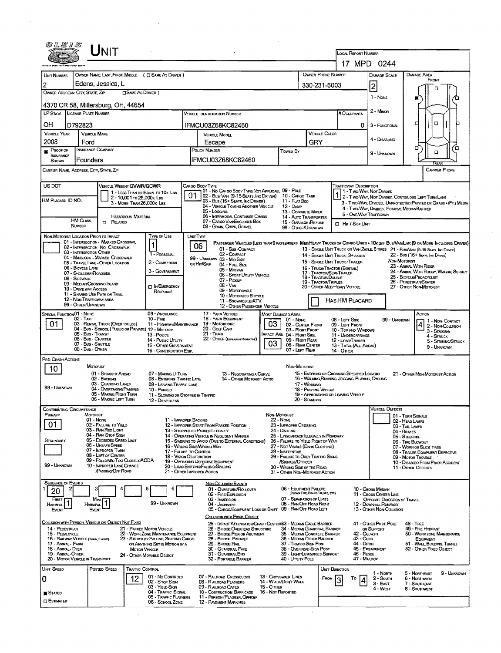|                                                                 | JNIT                                                                                                         |                                                                                |                                                                                                  |                                                                             |                                                                               | LOCAL REPORT NUMBER                                       |                                                                                   |                                                                                                                              |
|-----------------------------------------------------------------|--------------------------------------------------------------------------------------------------------------|--------------------------------------------------------------------------------|--------------------------------------------------------------------------------------------------|-----------------------------------------------------------------------------|-------------------------------------------------------------------------------|-----------------------------------------------------------|-----------------------------------------------------------------------------------|------------------------------------------------------------------------------------------------------------------------------|
|                                                                 |                                                                                                              |                                                                                |                                                                                                  |                                                                             |                                                                               | 17 MPD 0244                                               |                                                                                   |                                                                                                                              |
| UNIT NUMBER<br>$\overline{2}$                                   | OWNER NAME: LAST, FIRST, MIDDLE ( C) SAME AS DRIVER )<br>Edens, Jessica, L                                   |                                                                                |                                                                                                  |                                                                             | <b>OWNER PHONE NUMBER</b>                                                     |                                                           | <b>DAMAGE SCALE</b>                                                               | <b>DAMAGE AREA</b><br>FRONT                                                                                                  |
|                                                                 | OWNER ADDRESS: CITY, STATE, ZIP                                                                              | <b>OSAME AS DRIVER</b> )                                                       |                                                                                                  |                                                                             | 330-231-6003                                                                  |                                                           | 2                                                                                 | п                                                                                                                            |
|                                                                 | 4370 CR 58, Millersburg, OH, 44654                                                                           |                                                                                |                                                                                                  |                                                                             |                                                                               |                                                           | 1 - None                                                                          | o                                                                                                                            |
|                                                                 | LP STATE LIGENSE PLATE NUMBER                                                                                |                                                                                | <b>VEHICLE IDENTIFICATION NUMBER</b>                                                             |                                                                             |                                                                               | # Occupants                                               | 2 - Milnon                                                                        |                                                                                                                              |
| OН                                                              | D792823                                                                                                      |                                                                                | IFMCU03Z68KC82460                                                                                |                                                                             |                                                                               | 0                                                         | 3 - FUNCTIONAL                                                                    | α<br>о                                                                                                                       |
| <b>VEHICLE YEAR</b>                                             | <b>VEHICLE MAKE</b>                                                                                          |                                                                                | VEHICLE MODEL                                                                                    |                                                                             | VEHICLE COLOR                                                                 |                                                           | 4 - DISABLING                                                                     |                                                                                                                              |
| 2008<br>$P_{\text{ROOF OF}}$                                    | Ford<br><b>INSURANCE COMPANY</b>                                                                             |                                                                                | Escape<br>POLICY NUMBER                                                                          |                                                                             | GRY                                                                           |                                                           |                                                                                   | Έ<br>α                                                                                                                       |
| INSURANCE<br>SHOWN                                              | Founders                                                                                                     |                                                                                | IFMCU03Z68KC82460                                                                                | Towed By                                                                    |                                                                               |                                                           | 9 - Unknown                                                                       | o                                                                                                                            |
|                                                                 | CARRIER NAME, ADDRESS, CITY, STATE, ZIP                                                                      |                                                                                |                                                                                                  |                                                                             |                                                                               |                                                           |                                                                                   | FCFA<br>CARRIER PHONE                                                                                                        |
|                                                                 |                                                                                                              |                                                                                |                                                                                                  |                                                                             |                                                                               |                                                           |                                                                                   |                                                                                                                              |
| US DOT                                                          | VEHICLE WEIGHT GWWR/GCWR                                                                                     | 1 - LESS THAN OR EQUAL TO 10K LBS                                              | Cargo Body Type<br>101 - No Cargo Body Type/Not Applicabl. 09 - Pole                             |                                                                             |                                                                               | <b>TRAFFICWAY DESCRIPTION</b><br>1 - Two-Way, Not Divided |                                                                                   |                                                                                                                              |
| HM PLACARD ID NO.                                               |                                                                                                              | 2 - 10,001 to 26,000x Las<br>3 - MORE THAN 26,000K LBS.                        | 01<br>02 - Bus/ Van (9-15 Seats, Ing Driver)<br>03 - Bus (16+ Seats, Inc Driver)                 | 10 - Cargo Tank<br>11 - FLAT BED                                            |                                                                               |                                                           |                                                                                   | 2 - TWO-WAY, NOT DIVIDED, CONTINUOUS LEFT TURN LANE<br>3 - Two-Way, Divided, Unprotected (Painted or Grass >4Ft.) Media      |
|                                                                 |                                                                                                              |                                                                                | 04 - VEHICLE TOWING ANOTHER VEHICLE<br>05 - Logging<br>06 - INTERMODAL CONTAINER CHASIS          | 12 - Dump<br>13 - CONGRETE MIXER                                            |                                                                               | 5 - ONE-WAY TRAFFICWAY                                    | 4 TWO WAY, DIVIDED, POSITIVE MEDIANBARRIER                                        |                                                                                                                              |
|                                                                 | <b>HM CLASS</b><br><b>D</b> RELATED<br>NUMBER                                                                | HAZARDOUS MATERIAL                                                             | 07 - CARGO VAN ENCLOSED BOX<br>08 - GRAIN, CHIPS, GRAVEL                                         | 15 - GARBAGE /REFUSE                                                        | 14 - Auto Transporter                                                         | <b>D</b> Hir / Skip UNIT                                  |                                                                                   |                                                                                                                              |
|                                                                 | NON-MOTORIST LOCATION PRIOR TO IMPACT                                                                        | Type of Use                                                                    | <b>UNIT TYPE</b>                                                                                 | 99 - OTHER/UNKNOWN                                                          |                                                                               |                                                           |                                                                                   |                                                                                                                              |
|                                                                 | 01 - INTERSECTION - MARKED CROSSWAL<br>02 - INTERSECTION - NO CROSSWALK                                      | $\blacksquare$                                                                 | 06<br>01 - Sub-Compact                                                                           |                                                                             |                                                                               |                                                           |                                                                                   | PASSENGER VEHICLES (LESS THAN B PASSENGERS MEDIMEANY TRUCKS OR COMBO UNITS > 10KLBS BUS/VAN/LIMO(9 OR MORE INCLUDING DRIVER) |
|                                                                 | 03 - INTERSECTION OTHER<br>04 - MIDBLOCK - MARKED CROSSWALK                                                  | 1 - PERSONAL                                                                   | 02 - COMPACT<br>99 - UNKNOWN 03 - MID SIZE                                                       |                                                                             |                                                                               | 14 - SINGLE UNIT TRUCK: 3+ AXLES                          |                                                                                   | 13 - SINGLE UNIT TRUCK OR VAN 24XLE, 6 TIRES 21 - BUS/VAN (9-15 SEATS, INC DIRNER)<br>22 - Bus (16+ Sears, Inc Driver)       |
|                                                                 | 05 - TRAVEL LANE - OTHER LOCATION<br>06 - BICYCLE LANE                                                       | 2 - COMMERCIAL                                                                 | on Hit/Skip<br>04 - FutL Size<br>05 MINIVAN                                                      |                                                                             | 16 - TRUCK/TRACTOR (BOSTAIL)                                                  | 15 - SINGLE UNIT TRUCK / TRAILER                          | NON-MOTORIST                                                                      | 23 - AMMAL WITH RIDER                                                                                                        |
|                                                                 | 07 - Shoulder/Roadside<br>08 - Sidewalk                                                                      | 3 - GOVERNMENT                                                                 | 06 - SPORT UTUTY VEHICLE<br>07 - Pickup                                                          |                                                                             | 17 - TRACTOR/SEMI-TRAILER<br>18 - Tractor/Double                              |                                                           |                                                                                   | 24 - ANIMAL WITH BUGGY, WAGON, SURREY<br>25 - BICYCLE/PEDACYCLIST                                                            |
|                                                                 | 09 - MEDIAN CROSSING ISLAND<br>10 - DRIVE WAY ACCESS                                                         | <b>D IN EMERGENCY</b><br>RESPONSE                                              | $08 - V_{AN}$<br>09 - MOTORCYCLE                                                                 |                                                                             | <b>19 - TRACTOR/TRIPLES</b><br>20 - OTHER MED/HEAVY VEHICLE                   |                                                           |                                                                                   | 26 - PEDESTRIAN/SKATER<br>27 - OTHER NON-MOTORIST                                                                            |
|                                                                 | 11 - SHARED-USE PATH OR TRAIL<br>12 - NON-TRAFFICWAY AREA                                                    |                                                                                | 10 - MOTORIZED BICYCLE<br>11 - SNOWMOBILE/ATV                                                    |                                                                             |                                                                               | HASHM PLACARD                                             |                                                                                   |                                                                                                                              |
| SPECIAL FUNCTION 01 - NONE                                      | 99 - OTHER/UNKNOWN                                                                                           | 09 - AMBULANCE                                                                 | 12 - OTHER PASSENGER VEHICLE<br>17 - FARM VEHICLE                                                |                                                                             |                                                                               |                                                           |                                                                                   | Аспом                                                                                                                        |
| 01                                                              | $02 - Tax1$                                                                                                  | $10 -$ FIRE                                                                    |                                                                                                  |                                                                             |                                                                               |                                                           |                                                                                   |                                                                                                                              |
|                                                                 |                                                                                                              |                                                                                | 18 - FARM EQUIPMENT                                                                              | MOST DAMAGED AREA<br>01 - None                                              |                                                                               | 08 - LEFT SIDE                                            | 99 - Unimown                                                                      | 1 - Non-Contact                                                                                                              |
|                                                                 | 03 - RENTAL TRUCK (OVER 10KL8S)<br>04 - Bus - SCHOOL (PUBLIC OR PRIVATE) 12 - MILITARY<br>05 - Bus - Transit | 11 - HIGHWAY/MAINTENANCE                                                       | 19 - Мотояноме<br>20 - GOLF CART<br>21 - TRAIN                                                   | 03<br>03 - Right Front                                                      | 02 - CENTER FRONT                                                             | 09 - LEFT FRONT<br>10 - TOP AND WINDOWS                   |                                                                                   | 2 - Non-Collision<br>3 - Striking                                                                                            |
|                                                                 | 06 - Bus - CHARTER<br>07 - Bus - Shorne                                                                      | 13 - Pouce<br>14 - Pusuc Unury<br>15 - OTHER GOVERNMENT                        | 22 - OTHER (EXPLAIN IN NARRATIVE)                                                                | MPACT ARE 04 - RIGHT SIDE<br>05 - Right Rear<br>03<br>06 - REAR CENTER      |                                                                               | 11 - UNDERCARRIAGE<br>12 - LOAD/TRAILER                   |                                                                                   | 4 - STRUCK<br>5 - STRIKING/STRUCK                                                                                            |
|                                                                 | 08 - Bus - Omen                                                                                              | 16 - CONSTRUCTION EQIP.                                                        |                                                                                                  | 07 - Left Rear                                                              |                                                                               | 13 - TOTAL (ALL AREAS)<br>14 - Other                      |                                                                                   | 9 - UNKNOWN                                                                                                                  |
| PRE- CRASH ACTIONS                                              | <b>MOTORIST</b>                                                                                              |                                                                                |                                                                                                  | NON-MOTORIST                                                                |                                                                               |                                                           |                                                                                   |                                                                                                                              |
| 10                                                              | 01 - STRAIGHT AHPAD                                                                                          | 07 - MAKING U-TURN                                                             | 13 - Negotiating a Curve                                                                         |                                                                             |                                                                               | 15 - ENTERING OR CROSSING SPECIFIED LOCATIO               |                                                                                   | 21 - OTHER NON-MOTORIST ACTION                                                                                               |
|                                                                 | 02 - BACKING<br>03 - CHANGING LANES                                                                          | 08 - ENTERING TRAFFIC LANE<br>09 - LEAVING TRAFFIC LANE                        | 14 - OTHER MOTORIST ACTIO                                                                        |                                                                             | 17 - WORKING                                                                  | 16 - WALKING RUNNING, JOGGING, PLAYING, CYCLING           |                                                                                   |                                                                                                                              |
|                                                                 | 04 - OVERTAKING/PASSING<br>05 - MAKING RIGHT TURN                                                            | 10 - PARKED<br>11 - Slowing DR Stopped In Traffic                              |                                                                                                  |                                                                             | 18 - Pushing Vehicle<br>ZU - STANDING                                         | 19 - APPROACHING OR LEAVING VEHICLE                       |                                                                                   |                                                                                                                              |
|                                                                 | <b>MAKING LEFT TURN</b>                                                                                      | 12 - Driverless                                                                |                                                                                                  |                                                                             |                                                                               |                                                           | <b>VEHICLE DEFECTS</b>                                                            |                                                                                                                              |
| 99 - UNKNOWN<br>CONTRIBUTING CIRCUMSTANCE<br>PRIMARY            | MOTORIST<br>01 - NONE                                                                                        |                                                                                | 11 - IMPROPER BACKING                                                                            | Non-Motorist<br>22 - None                                                   |                                                                               |                                                           |                                                                                   | 01 - TURN SIGNALS<br>02 - HEAD LAMPS                                                                                         |
| 01                                                              | 02 - FAILURE TO YIELD<br>03 - RAN REO LIGHT                                                                  |                                                                                | 12 - IMPROPER START FROM PARKED POSITION<br>13 - STOPPED OR PARKED ILLEGALLY                     | 23 - IMPROPER CROSSING<br>24 - DARTING                                      |                                                                               |                                                           |                                                                                   | 03 - TAIL LAMPS<br>04 - BRAKES                                                                                               |
| SECONDARY                                                       | 04 - RAN STOP SIGN<br>05 - Exceeped Speed Limit                                                              |                                                                                | 14 - OPERATING VEHICLE IN NEGLIGENT MANNER<br>15 - Swering to Avoid (Due to External Conditions) | 25 - LYING AND/OR ILLEGALLY IN ROADWAY<br>26 - FALURE TO YIELD RIGHT OF WAY |                                                                               |                                                           |                                                                                   | 05 - STEERING<br>06 - TIRE BLOWOUT                                                                                           |
|                                                                 | 06 - UNSAFE SPEED<br>07 - IMPROPER TURN                                                                      |                                                                                | 16 - WRONG SIDEANRONG WAY<br>17 - FALURE TO CONTROL                                              | 27 - Not Visible (Dark Clothing)<br>28 - INATTENTIVE                        |                                                                               |                                                           |                                                                                   | 07 - WORN OR SUCK TIRES<br>08 - TRAILER EQUIPMENT DEFECTIVE                                                                  |
|                                                                 | 08 - LEFT OF CENTER<br>09 - FOLLOWED TOO CLOSELY/ACDA                                                        |                                                                                | <b>18 - VISION OBSTRUCTION</b><br>19 - OPERATING DEFECTIVE EQUIPMENT                             | 29 - FAILURE TO OBEY TRAFFIC SIGNS<br>/SIGNALS/OFFICER                      |                                                                               |                                                           |                                                                                   | 09 - Motor Trouble<br>10 - DISABLEO FROM PRIOR ACCIDENT                                                                      |
| 99 - Unknown                                                    | 10 - IMPROPER LANE CHANGE<br>PASSING OFF ROAD                                                                |                                                                                | 20 - LOAD SHIFTING/FALUNG/SPILLING<br>21 - OTHER IMPROPER ACTION                                 | 30 - WRONG SIDE OF THE ROAD<br>31 - OTHER NON-MOTORIST ACTION               |                                                                               |                                                           |                                                                                   | 11 - OTHER DEFECTS                                                                                                           |
| SEQUENCE OF EVENTS                                              |                                                                                                              |                                                                                | <b>NON-COLLISION EVENTS</b>                                                                      |                                                                             |                                                                               |                                                           |                                                                                   |                                                                                                                              |
| 20                                                              |                                                                                                              | 6<br>5                                                                         | 01 - OVERTURN/ROLLOVER<br>02 - FIRE/EXPLOSION                                                    | 06 - EQUIPMENT FAILURE                                                      | (BLOWN TIRE, BRAKE FAILURE, ETC)                                              |                                                           | 10 - CROSS MEDIAN<br>11 - Cross CENTER LINE                                       |                                                                                                                              |
| FIRST I                                                         | Most<br>HARMFUL                                                                                              | 99 - UNKNOWN                                                                   | 03 - IMMERSION<br>04 - Jackkapfe<br>05 - CARGO/EQUIPMENT LOSS OR SHIFT                           |                                                                             | 07 - SEPARATION OF UNITS<br>08 - RAN OFF ROAD RIGHT<br>09 - RAN OFF ROAD LEFT |                                                           | OPPOSITE DIRECTION OF TRAVEL<br>12 - DOWNHILL RUNAWAY<br>13 - OTHER NON-COLLISION |                                                                                                                              |
| Harmful I<br>Event                                              | Event                                                                                                        |                                                                                | COLUSION WITH FIXED, ORJECT                                                                      |                                                                             |                                                                               |                                                           |                                                                                   |                                                                                                                              |
| 14 - PEDESTRIAN                                                 | COLLISION WITH PERSON, VEHICLE OR OBJECT NOT FIXED                                                           | 21 - PARKED MOTOR VEHICLE                                                      | 25 - IMPACT ATTENUATOR/CRASH CUSHION33 - MEDIAN CABLE BARRIER<br>26 - BRIDGE OVERHEAD STRUCTURE  |                                                                             | 34 - MEDIAN GUARDRAIL BARRIER                                                 |                                                           | 41 - OTHER POST, POLE<br>OR SUPPORT                                               | $48 - THEE$<br>49 - FIRE HYDRANT                                                                                             |
| 15 - PEDALCYCLE                                                 | <b>16 - RAILWAY VEHICLE (TRAIN, ENGINE)</b>                                                                  | 22 - WORK ZONE MAINTENANCE EQUIPMENT<br>23 - STRUCK BY FALLING, SHIFTING CARGO | 27 - BRIDGE PIER OR ABUTMENT<br>28 - BRIDGE PARAPET                                              |                                                                             | 35 - MEDIAN CONCRETE BARRIER<br>36 - MEDIAN OTHER BARRIER                     | 42 - QUIVERT<br>43 - Сиве                                 |                                                                                   | 50 - WORK ZONE MAINTENANCE<br>EQUIPMENT                                                                                      |
|                                                                 |                                                                                                              | OR ANYTHING SET IN MOTION BY A<br><b>MOTOR VEHICLE</b>                         | 29 - Bridge Rail<br>30 - GUARDRAIL FACE                                                          | 37 - TRAFFIC SIGN POST                                                      | 38 - Overhead Stan Post                                                       | 44 - Dirch                                                | 45 - EMBANKMENT                                                                   | 51 - WALL, BUILDING, TUNNEL<br>52 - OTHER FIXED OBJECT                                                                       |
| 17 - ANIMAL - FARM<br>18 - Animal - Deer<br>19 - ANIMAL - OTHER | 20 - MOTOR VEHICLE IN TRANSPORT                                                                              | 24 - OTHER MOVABLE OBJECT                                                      | 31 - GUARDRAILEND<br>32 - PORTABLE BARRIER                                                       | 40 - UTUTY POLE                                                             | 39 - LIGHT/LUMINARIES SUPPORT                                                 | 46 - FENCE<br>47 - MAILBOX                                |                                                                                   |                                                                                                                              |
| UNIT SPEED                                                      | POSTED SPEED                                                                                                 | TRAFFIC CONTROL                                                                |                                                                                                  |                                                                             |                                                                               | UNIT DIRECTION                                            | 1 - NORTH                                                                         | 5 - NORTHEAST<br>9 - UNKNOWN                                                                                                 |
| 0                                                               |                                                                                                              | 01 - No Controls<br>12<br>02 - S TOP SIGN                                      | 07 - RALROAD CROSSBUCKS<br>08 - RAILRDAD FLASHERS                                                | 13 - Crosswalk Lines<br>14 - WALK/DON'T WALK                                | FROM                                                                          | Ţо                                                        | $2 -$ South<br>3 - East                                                           | 6 - NORTHWEST<br>7 - SOUTHEAST                                                                                               |
| <b>STATED</b>                                                   |                                                                                                              | 03 - YIELD SIGN<br>04 - TRAFFIC SIGNAL<br>05 - TRAFFIC FLASHERS                | 09 - RALROAD GATES<br>10 - Costruction Barricade<br>11 - PERSON (FLAGGER, OFFICER                | <b>15 - O THER</b><br>16 - Not Reported                                     |                                                                               |                                                           | 4 - WEST                                                                          | 8 - SoutHWEST                                                                                                                |

 $\label{eq:2} \frac{1}{\sqrt{2\pi}}\int_{0}^{\infty}\frac{1}{\sqrt{2\pi}}\left|\frac{d\theta}{2\pi}\right|^{2}dx\leq\frac{1}{2\sqrt{2}}\int_{0}^{\infty}\frac{d\theta}{2\pi}dx$ 

 $\label{eq:2.1} \frac{1}{\sqrt{2}}\int_{\mathbb{R}^3}\frac{1}{\sqrt{2}}\left(\frac{1}{\sqrt{2}}\right)^2\frac{1}{\sqrt{2}}\left(\frac{1}{\sqrt{2}}\right)^2\frac{1}{\sqrt{2}}\left(\frac{1}{\sqrt{2}}\right)^2\frac{1}{\sqrt{2}}\left(\frac{1}{\sqrt{2}}\right)^2.$